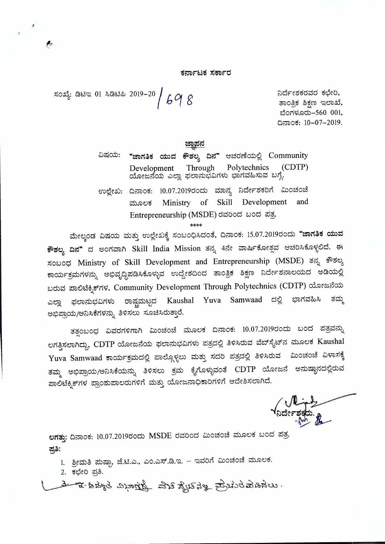ಕರ್ನಾಟಕ ಸರ್ಕಾರ

ಸಂಖ್ಯೆ: ಡಿಟಿಇ 01 ಸಿಡಿಟಿಪಿ 2019-20 / 69 8

ನಿರ್ದೇಶಕರವರ ಕಛೇರಿ, ತಾಂತ್ರಿಕ ಶಿಕ್ಷಣ ಇಲಾಖೆ, ಬೆಂಗಳೂರು-560 001, ದಿನಾಂಕ: 10-07-2019.

ವಿಷಯ: "ಜಾಗತಿಕ ಯುವ ಕೌಶಲ್ಯ ದಿನ" ಆಚರಣೆಯಲ್ಲಿ Community (CDTP) Development Through Polytechnics ಯೋಜನೆಯ ಎಲ್ಲಾ ಫಲಾನುಭವಿಗಳು ಭಾಗವಹಿಸುವ ಬಗ್ಗೆ. ಉಲ್ಲೇಖ: ದಿನಾಂಕ: 10.07.2019ರಂದು ಮಾನ್ಯ ನಿರ್ದೇಶಕರಿಗೆ ಮಿಂಚಂಚೆ Ministry of Skill Development and ಮೂಲಕ

Entrepreneurship (MSDE) ರವರಿಂದ ಬಂದ ಪತ್ರ

ಮೇಲ್ಕಂಡ ವಿಷಯ ಮತ್ತು ಉಲ್ಲೇಖಕ್ಕೆ ಸಂಬಂಧಿಸಿದಂತೆ, ದಿನಾಂಕ: 15.07.2019ರಂದು "ಜಾಗತಿಕ ಯುವ **ಕೌಶಲ್ಯ ದಿನ"** ದ ಅಂಗವಾಗಿ Skill India Mission ತನ್ನ 4ನೇ ವಾರ್ಷಿಕೋತ್ಸವ ಆಚರಿಸಿಕೊಳ್ಳಲಿದೆ. ಈ ಸಂಬಂಧ Ministry of Skill Development and Entrepreneurship (MSDE) ತನ್ನ ಕೌಶಲ್ಯ ಕಾರ್ಯಕ್ರಮಗಳನ್ನು ಅಭಿವೃದ್ಧಿಪಡಿಸಿಕೊಳ್ಳುವ ಉದ್ದೇಶದಿಂದ ತಾಂತ್ರಿಕ ಶಿಕ್ಷಣ ನಿರ್ದೇಶನಾಲಯದ ಅಡಿಯಲ್ಲಿ ಬರುವ ಪಾಲಿಟೆಕ್ನಿಕ್ ಗಳ, Community Development Through Polytechnics (CDTP) ಯೋಜನೆಯ ರಾಷ್ಟ್ರಮಟ್ಟದ Kaushal Yuva Samwaad ದಲ್ಲಿ ಭಾಗವಹಿಸಿ ತಮ್ಮ ಫಲಾನುಭವಿಗಳು ಎಲ್ಲಾ ಅಭಿಪ್ರಾಯ/ಅನಿಸಿಕೆಗಳನ್ನು ತಿಳಿಸಲು ಸೂಚಿಸಿರುತ್ತಾರೆ.

ತತ್ಪಂಬಂಧ ವಿವರಗಳಿಗಾಗಿ ಮಿಂಚಂಚೆ ಮೂಲಕ ದಿನಾಂಕ: 10.07.2019ರಂದು ಬಂದ ಪತ್ರವನ್ನು ಲಗತ್ತಿಸಲಾಗಿದ್ದು, CDTP ಯೋಜನೆಯ ಫಲಾನುಭವಿಗಳು ಪತ್ರದಲ್ಲಿ ತಿಳಿಸಿರುವ ವೆಬ್ಸೈಟ್ನ ಮೂಲಕ Kaushal Yuva Samwaad ಕಾರ್ಯಕ್ರಮದಲ್ಲಿ ಪಾಲ್ಗೊಳ್ಳಲು ಮತ್ತು ಸದರಿ ಪತ್ರದಲ್ಲಿ ತಿಳಿಸಿರುವ ಮಿಂಚಂಚೆ ವಿಳಾಸಕ್ಕೆ ತಮ್ಮ ಅಭಿಪ್ರಾಯ/ಅನಿಸಿಕೆಯನ್ನು ತಿಳಿಸಲು ಕ್ರಮ ಕೈಗೊಳ್ಳುವಂತೆ CDTP ಯೋಜನೆ ಅನುಷ್ಠಾನದಲ್ಲಿರುವ ಪಾಲಿಟೆಕ್ನಿಕ್ಗಳ ಪ್ರಾಂಶುಪಾಲರುಗಳಿಗೆ ಮತ್ತು ಯೋಜನಾಧಿಕಾರಿಗಳಿಗೆ ಆದೇಶಿಸಲಾಗಿದೆ.

ಲಗತ್ತು: ದಿನಾಂಕ: 10.07.2019ರಂದು MSDE ರವರಿಂದ ಮಿಂಚಂಚೆ ಮೂಲಕ ಬಂದ ಪತ್ರ. ಪ್ರತಿ:

1. ಶ್ರೀಮತಿ ಮಷ್ಪಾ, ಜೆ.ಟಿ.ಎ., ಎಂ.ಎಸ್.ಡಿ.ಇ. – ಇವರಿಗೆ ಮಿಂಚಂಚೆ ಮೂಲಕ.

2. ಕಛೇರಿ ಪ್ರತಿ.

uskalabinā grīgātikā ala graņa bodarā